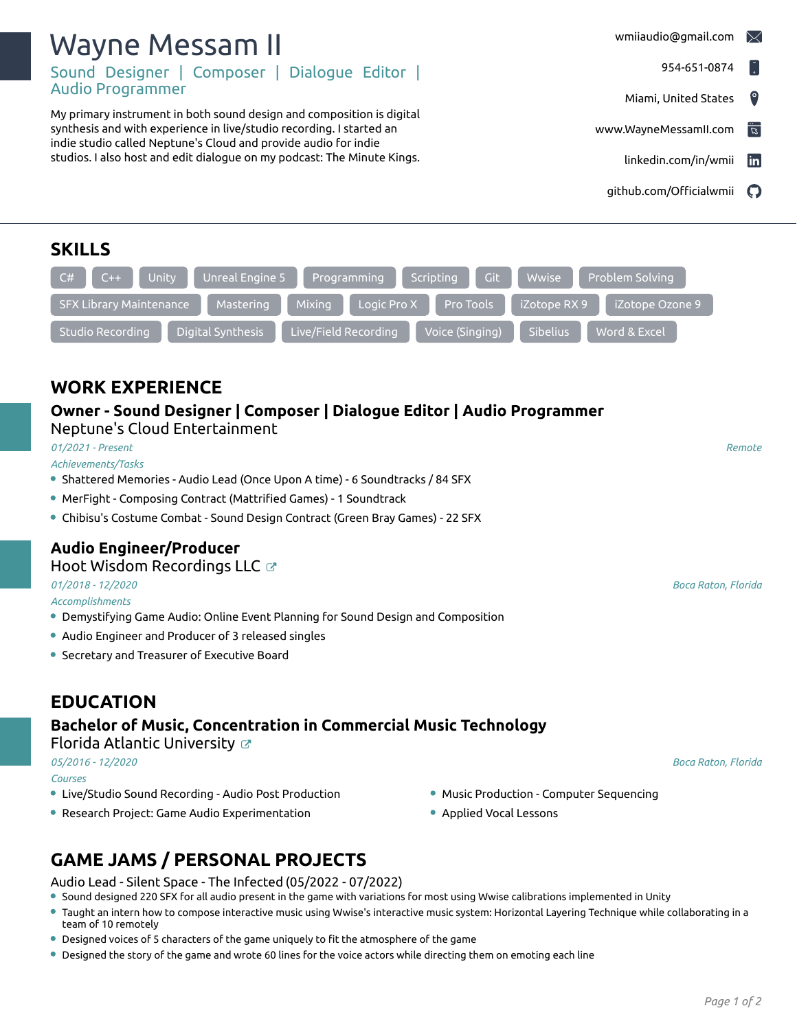| Sound Designer   Composer   Dialogue Editor                                                                                                                                                                                                                                                 | 954-651-0874<br>$\vert$ .                                           |
|---------------------------------------------------------------------------------------------------------------------------------------------------------------------------------------------------------------------------------------------------------------------------------------------|---------------------------------------------------------------------|
| <b>Audio Programmer</b>                                                                                                                                                                                                                                                                     | $\bullet$<br>Miami, United States                                   |
| My primary instrument in both sound design and composition is digital<br>synthesis and with experience in live/studio recording. I started an<br>indie studio called Neptune's Cloud and provide audio for indie<br>studios. I also host and edit dialogue on my podcast: The Minute Kings. | $\overline{\overline{z}}$<br>www.WayneMessamII.com                  |
|                                                                                                                                                                                                                                                                                             | <b>in</b><br>linkedin.com/in/wmii                                   |
|                                                                                                                                                                                                                                                                                             | github.com/Officialwmii<br>$\boldsymbol{\Theta}$                    |
| <b>SKILLS</b>                                                                                                                                                                                                                                                                               |                                                                     |
| Unreal Engine 5<br>Unity<br>Programming<br>$C++$<br>C#                                                                                                                                                                                                                                      | Git<br>Wwise<br>Problem Solving<br>Scripting                        |
| Mixing<br><b>SFX Library Maintenance</b><br>Logic Pro X<br>Mastering                                                                                                                                                                                                                        | Pro Tools<br>iZotope RX 9<br>iZotope Ozone 9                        |
| Digital Synthesis<br>Live/Field Recording<br><b>Studio Recording</b>                                                                                                                                                                                                                        | Word & Excel<br>Voice (Singing)<br>Sibelius                         |
|                                                                                                                                                                                                                                                                                             |                                                                     |
|                                                                                                                                                                                                                                                                                             |                                                                     |
| <b>WORK EXPERIENCE</b>                                                                                                                                                                                                                                                                      |                                                                     |
| Owner - Sound Designer   Composer   Dialogue Editor   Audio Programmer<br>Neptune's Cloud Entertainment                                                                                                                                                                                     |                                                                     |
| 01/2021 - Present<br>Achievements/Tasks                                                                                                                                                                                                                                                     | Remote                                                              |
| • Shattered Memories - Audio Lead (Once Upon A time) - 6 Soundtracks / 84 SFX                                                                                                                                                                                                               |                                                                     |
| • MerFight - Composing Contract (Mattrified Games) - 1 Soundtrack                                                                                                                                                                                                                           |                                                                     |
| • Chibisu's Costume Combat - Sound Design Contract (Green Bray Games) - 22 SFX                                                                                                                                                                                                              |                                                                     |
| <b>Audio Engineer/Producer</b>                                                                                                                                                                                                                                                              |                                                                     |
| Hoot Wisdom Recordings LLC &                                                                                                                                                                                                                                                                |                                                                     |
| 01/2018 - 12/2020<br>Accomplishments                                                                                                                                                                                                                                                        | <b>Boca Raton, Florida</b>                                          |
| • Demystifying Game Audio: Online Event Planning for Sound Design and Composition                                                                                                                                                                                                           |                                                                     |
| • Audio Engineer and Producer of 3 released singles                                                                                                                                                                                                                                         |                                                                     |
| • Secretary and Treasurer of Executive Board                                                                                                                                                                                                                                                |                                                                     |
|                                                                                                                                                                                                                                                                                             |                                                                     |
| <b>EDUCATION</b>                                                                                                                                                                                                                                                                            |                                                                     |
| Bachelor of Music, Concentration in Commercial Music Technology<br>Florida Atlantic University $\varnothing$                                                                                                                                                                                |                                                                     |
| 05/2016 - 12/2020                                                                                                                                                                                                                                                                           | Boca Raton, Florida                                                 |
| Courses<br>• Live/Studio Sound Recording - Audio Post Production                                                                                                                                                                                                                            |                                                                     |
| • Research Project: Game Audio Experimentation                                                                                                                                                                                                                                              | • Music Production - Computer Sequencing<br>• Applied Vocal Lessons |
|                                                                                                                                                                                                                                                                                             |                                                                     |
| <b>GAME JAMS / PERSONAL PROJECTS</b>                                                                                                                                                                                                                                                        |                                                                     |
| Audio Lead - Silent Space - The Infected (05/2022 - 07/2022)<br>• Sound designed 220 SFX for all audio present in the game with variations for most using Wwise calibrations implemented in Unity                                                                                           |                                                                     |
| ● Taught an intern how to compose interactive music using Wwise's interactive music system: Horizontal Layering Technique while collaborating in a<br>team of 10 remotely                                                                                                                   |                                                                     |

Designed voices of 5 characters of the game uniquely to fit the atmosphere of the game

Wayne Messam II

Designed the story of the game and wrote 60 lines for the voice actors while directing them on emoting each line

[wmiiaudio@gmail.com](mailto:wmiiaudio@gmail.com)  $\boxtimes$ 

954-651-0874